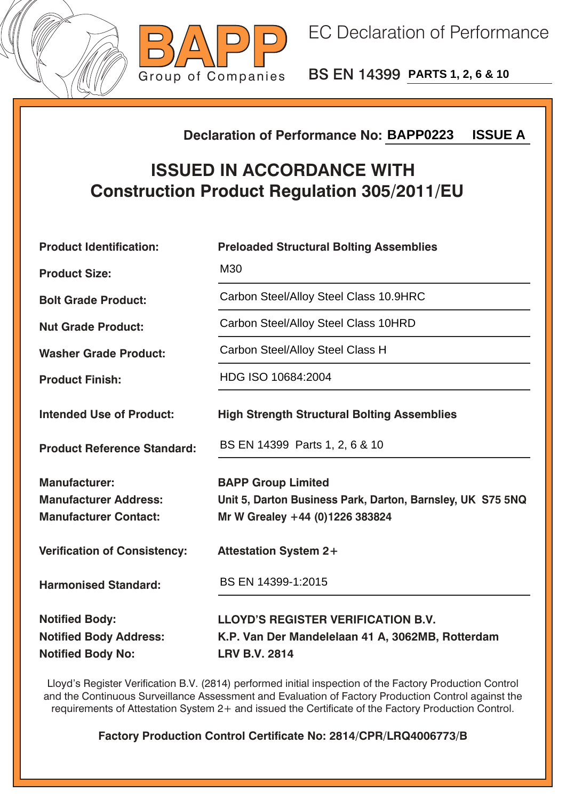



BS EN 14399 **PARTS 1, 2, 6 & 10**

## **Declaration of Performance No:**

## **ISSUED IN ACCORDANCE WITH Construction Product Regulation 305/2011/EU**

| <b>ISSUE A</b><br><b>Declaration of Performance No: BAPP0223</b>                       |                                                                                                                            |  |  |
|----------------------------------------------------------------------------------------|----------------------------------------------------------------------------------------------------------------------------|--|--|
| <b>ISSUED IN ACCORDANCE WITH</b><br><b>Construction Product Regulation 305/2011/EU</b> |                                                                                                                            |  |  |
| <b>Product Identification:</b>                                                         | <b>Preloaded Structural Bolting Assemblies</b>                                                                             |  |  |
| <b>Product Size:</b>                                                                   | M30                                                                                                                        |  |  |
| <b>Bolt Grade Product:</b>                                                             | Carbon Steel/Alloy Steel Class 10.9HRC                                                                                     |  |  |
| <b>Nut Grade Product:</b>                                                              | Carbon Steel/Alloy Steel Class 10HRD                                                                                       |  |  |
| <b>Washer Grade Product:</b>                                                           | Carbon Steel/Alloy Steel Class H                                                                                           |  |  |
| <b>Product Finish:</b>                                                                 | HDG ISO 10684:2004                                                                                                         |  |  |
| <b>Intended Use of Product:</b>                                                        | <b>High Strength Structural Bolting Assemblies</b>                                                                         |  |  |
| <b>Product Reference Standard:</b>                                                     | BS EN 14399 Parts 1, 2, 6 & 10                                                                                             |  |  |
| <b>Manufacturer:</b><br><b>Manufacturer Address:</b><br><b>Manufacturer Contact:</b>   | <b>BAPP Group Limited</b><br>Unit 5, Darton Business Park, Darton, Barnsley, UK S75 5NQ<br>Mr W Grealey +44 (0)1226 383824 |  |  |
| <b>Verification of Consistency:</b>                                                    | <b>Attestation System 2+</b>                                                                                               |  |  |
| <b>Harmonised Standard:</b>                                                            | BS EN 14399-1:2015                                                                                                         |  |  |
| <b>Notified Body:</b><br><b>Notified Body Address:</b><br><b>Notified Body No:</b>     | <b>LLOYD'S REGISTER VERIFICATION B.V.</b><br>K.P. Van Der Mandelelaan 41 A, 3062MB, Rotterdam<br><b>LRV B.V. 2814</b>      |  |  |

Lloyd's Register Verification B.V. (2814) performed initial inspection of the Factory Production Control and the Continuous Surveillance Assessment and Evaluation of Factory Production Control against the requirements of Attestation System 2+ and issued the Certificate of the Factory Production Control.

**Factory Production Control Certificate No: 2814/CPR/LRQ4006773/B**